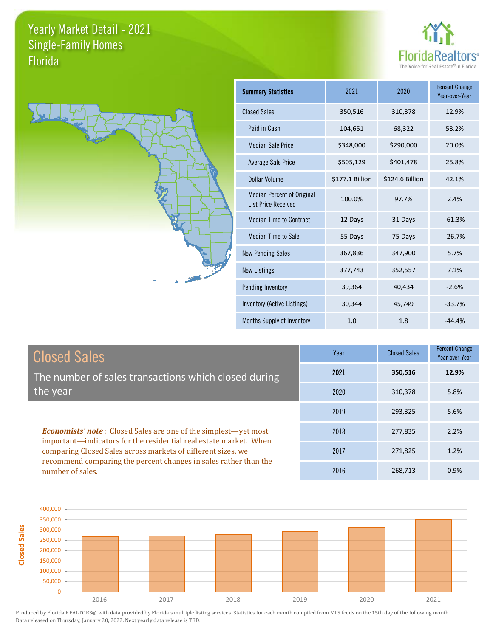



| <b>Summary Statistics</b>                                       | 2021            | 2020            | <b>Percent Change</b><br>Year-over-Year |
|-----------------------------------------------------------------|-----------------|-----------------|-----------------------------------------|
| <b>Closed Sales</b>                                             | 350,516         | 310,378         | 12.9%                                   |
| Paid in Cash                                                    | 104,651         | 68,322          | 53.2%                                   |
| <b>Median Sale Price</b>                                        | \$348,000       | \$290,000       | 20.0%                                   |
| <b>Average Sale Price</b>                                       | \$505,129       | \$401,478       | 25.8%                                   |
| Dollar Volume                                                   | \$177.1 Billion | \$124.6 Billion | 42.1%                                   |
| <b>Median Percent of Original</b><br><b>List Price Received</b> | 100.0%          | 97.7%           | 2.4%                                    |
| <b>Median Time to Contract</b>                                  | 12 Days         | 31 Days         | $-61.3%$                                |
| <b>Median Time to Sale</b>                                      | 55 Days         | 75 Days         | $-26.7%$                                |
| <b>New Pending Sales</b>                                        | 367,836         | 347,900         | 5.7%                                    |
| <b>New Listings</b>                                             | 377,743         | 352,557         | 7.1%                                    |
| Pending Inventory                                               | 39,364          | 40,434          | $-2.6%$                                 |
| Inventory (Active Listings)                                     | 30,344          | 45,749          | $-33.7%$                                |
| Months Supply of Inventory                                      | 1.0             | 1.8             | $-44.4%$                                |

| <b>Closed Sales</b>                                                                                                                                                                                         | Year | <b>Closed Sales</b> | <b>Percent Change</b><br>Year-over-Year |
|-------------------------------------------------------------------------------------------------------------------------------------------------------------------------------------------------------------|------|---------------------|-----------------------------------------|
| The number of sales transactions which closed during                                                                                                                                                        | 2021 | 350,516             | 12.9%                                   |
| the year                                                                                                                                                                                                    | 2020 | 310,378             | 5.8%                                    |
|                                                                                                                                                                                                             | 2019 | 293,325             | 5.6%                                    |
| <b>Economists' note:</b> Closed Sales are one of the simplest—yet most<br>important—indicators for the residential real estate market. When<br>comparing Closed Sales across markets of different sizes, we | 2018 | 277,835             | 2.2%                                    |
|                                                                                                                                                                                                             | 2017 | 271,825             | 1.2%                                    |
| recommend comparing the percent changes in sales rather than the<br>number of sales.                                                                                                                        | 2016 | 268.713             | 0.9%                                    |

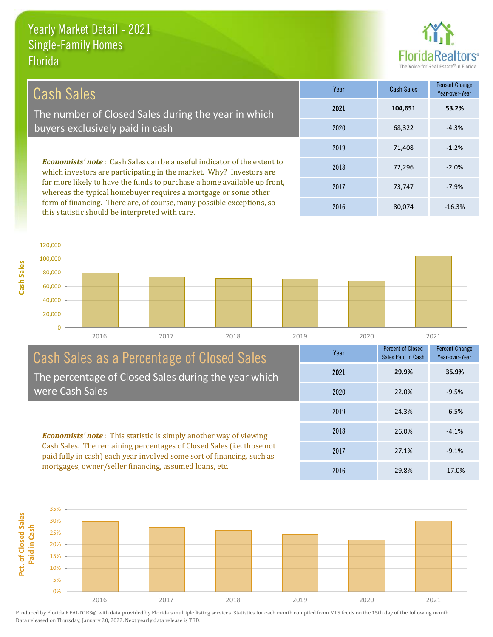this statistic should be interpreted with care.

**Cash Sales**



22.0% -9.5%

Percent Change Year-over-Year

Percent of Closed Sales Paid in Cash

2021 **29.9% 35.9%**

24.3% -6.5%

26.0% -4.1%

27.1% -9.1%

2019

2020

Year

2018

2017

2016

29.8% -17.0%

| Cash Sales                                                                                                                                                                                                                                                                                           | Year | Cash Sales | Percent Change<br>Year-over-Year |
|------------------------------------------------------------------------------------------------------------------------------------------------------------------------------------------------------------------------------------------------------------------------------------------------------|------|------------|----------------------------------|
| The number of Closed Sales during the year in which                                                                                                                                                                                                                                                  | 2021 | 104,651    | 53.2%                            |
| buyers exclusively paid in cash                                                                                                                                                                                                                                                                      | 2020 | 68,322     | $-4.3%$                          |
|                                                                                                                                                                                                                                                                                                      | 2019 | 71,408     | $-1.2%$                          |
| <b>Economists' note:</b> Cash Sales can be a useful indicator of the extent to<br>which investors are participating in the market. Why? Investors are<br>far more likely to have the funds to purchase a home available up front,<br>whereas the typical homebuyer requires a mortgage or some other | 2018 | 72,296     | $-2.0%$                          |
|                                                                                                                                                                                                                                                                                                      | 2017 | 73.747     | $-7.9%$                          |
| form of financing. There are, of course, many possible exceptions, so                                                                                                                                                                                                                                | 2016 | 80.074     | $-16.3%$                         |

0 20,000 40,000 60,000 80,000 100,000 120,000 2016 2017 2018 2019 2020 2021

Cash Sales as a Percentage of Closed Sales The percentage of Closed Sales during the year which were Cash Sales

*Economists' note* : This statistic is simply another way of viewing Cash Sales. The remaining percentages of Closed Sales (i.e. those not paid fully in cash) each year involved some sort of financing, such as mortgages, owner/seller financing, assumed loans, etc.

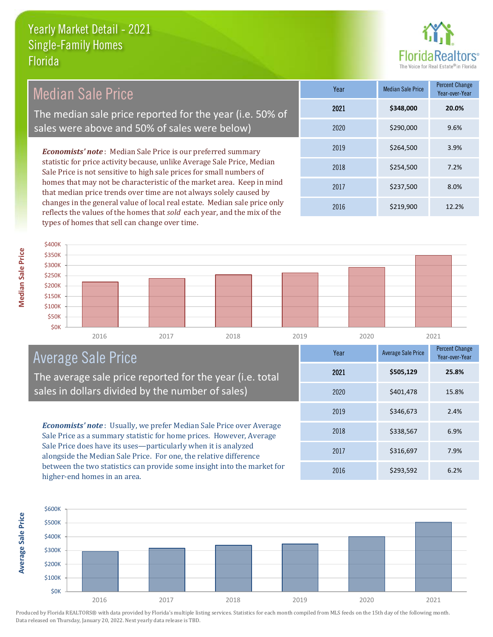

*Economists' note* : Median Sale Price is our preferred summary statistic for price activity because, unlike Average Sale Price, Median Sale Price is not sensitive to high sale prices for small numbers of homes that may not be characteristic of the market area. Keep in mind that median price trends over time are not always solely caused by changes in the general value of local real estate. Median sale price only 2016 \$219,900 12.2% 2018 \$254,500 7.2% 2017 \$237,500 8.0% **Year** Median Sale Price Percent Change Year-over-Year 2019 \$264,500 3.9% 2021 **\$348,000 20.0%** 2020 \$290,000 9.6% Median Sale Price The median sale price reported for the year (i.e. 50% of sales were above and 50% of sales were below)



## Average Sale Price

The average sale price reported for the year (i.e. total sales in dollars divided by the number of sales)

reflects the values of the homes that *sold* each year, and the mix of the

types of homes that sell can change over time.

*Economists' note* : Usually, we prefer Median Sale Price over Average Sale Price as a summary statistic for home prices. However, Average Sale Price does have its uses—particularly when it is analyzed alongside the Median Sale Price. For one, the relative difference between the two statistics can provide some insight into the market for higher-end homes in an area.





**Median Sale Price**

**Median Sale Price**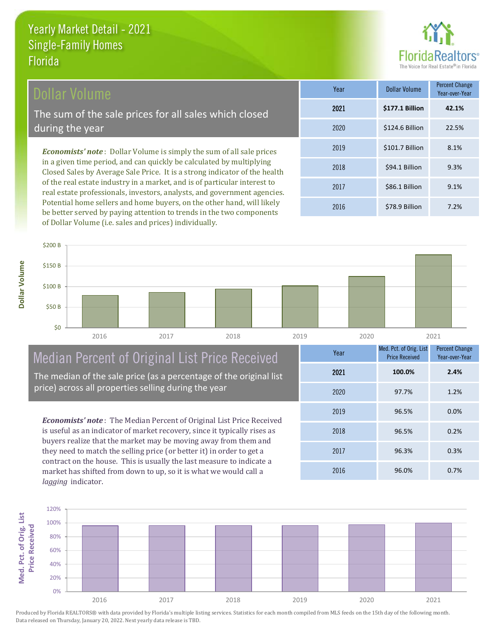

#### Dollar Volume

The sum of the sale prices for all sales which closed during the year

*Economists' note* : Dollar Volume is simply the sum of all sale prices in a given time period, and can quickly be calculated by multiplying Closed Sales by Average Sale Price. It is a strong indicator of the health of the real estate industry in a market, and is of particular interest to real estate professionals, investors, analysts, and government agencies. Potential home sellers and home buyers, on the other hand, will likely be better served by paying attention to trends in the two components of Dollar Volume (i.e. sales and prices) individually.

| Year | Dollar Volume   | <b>Percent Change</b><br>Year-over-Year |
|------|-----------------|-----------------------------------------|
| 2021 | \$177.1 Billion | 42.1%                                   |
| 2020 | \$124.6 Billion | 22.5%                                   |
| 2019 | \$101.7 Billion | 8.1%                                    |
| 2018 | \$94.1 Billion  | 9.3%                                    |
| 2017 | \$86.1 Billion  | 9.1%                                    |
| 2016 | \$78.9 Billion  | 7.2%                                    |



## Median Percent of Original List Price Received

The median of the sale price (as a percentage of the original list price) across all properties selling during the year

*Economists' note* : The Median Percent of Original List Price Received is useful as an indicator of market recovery, since it typically rises as buyers realize that the market may be moving away from them and they need to match the selling price (or better it) in order to get a contract on the house. This is usually the last measure to indicate a market has shifted from down to up, so it is what we would call a *lagging* indicator.

| Year | Med. Pct. of Orig. List<br><b>Price Received</b> | <b>Percent Change</b><br>Year-over-Year |
|------|--------------------------------------------------|-----------------------------------------|
| 2021 | 100.0%                                           | 2.4%                                    |
| 2020 | 97.7%                                            | 1.2%                                    |
| 2019 | 96.5%                                            | 0.0%                                    |
| 2018 | 96.5%                                            | 0.2%                                    |
| 2017 | 96.3%                                            | 0.3%                                    |
| 2016 | 96.0%                                            | 0.7%                                    |

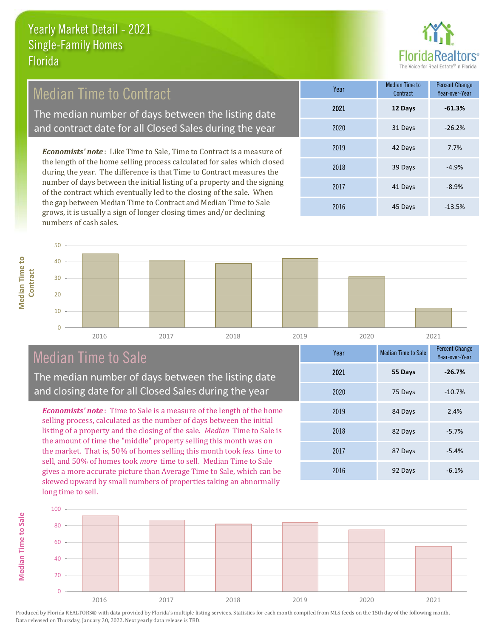

### Median Time to Contract

The median number of days between the listing date and contract date for all Closed Sales during the year

*Economists' note* : Like Time to Sale, Time to Contract is a measure of the length of the home selling process calculated for sales which closed during the year. The difference is that Time to Contract measures the number of days between the initial listing of a property and the signing of the contract which eventually led to the closing of the sale. When the gap between Median Time to Contract and Median Time to Sale grows, it is usually a sign of longer closing times and/or declining numbers of cash sales.

| Year | <b>Median Time to</b><br>Contract | <b>Percent Change</b><br>Year-over-Year |
|------|-----------------------------------|-----------------------------------------|
| 2021 | 12 Days                           | $-61.3%$                                |
| 2020 | 31 Days                           | $-26.2%$                                |
| 2019 | 42 Days                           | 7.7%                                    |
| 2018 | 39 Days                           | $-4.9%$                                 |
| 2017 | 41 Days                           | $-8.9%$                                 |
| 2016 | 45 Days                           | $-13.5%$                                |



## Median Time to Sale

**Median Time to Sale**

**Median Time to Sale** 

**Median Time to** 

**Median Time to** 

The median number of days between the listing date and closing date for all Closed Sales during the year

*Economists' note* : Time to Sale is a measure of the length of the home selling process, calculated as the number of days between the initial listing of a property and the closing of the sale. *Median* Time to Sale is the amount of time the "middle" property selling this month was on the market. That is, 50% of homes selling this month took *less* time to sell, and 50% of homes took *more* time to sell. Median Time to Sale gives a more accurate picture than Average Time to Sale, which can be skewed upward by small numbers of properties taking an abnormally long time to sell.

| Year | <b>Median Time to Sale</b> | <b>Percent Change</b><br>Year-over-Year |
|------|----------------------------|-----------------------------------------|
| 2021 | 55 Days                    | $-26.7%$                                |
| 2020 | 75 Days                    | $-10.7%$                                |
| 2019 | 84 Days                    | 2.4%                                    |
| 2018 | 82 Days                    | $-5.7%$                                 |
| 2017 | 87 Days                    | $-5.4%$                                 |
| 2016 | 92 Days                    | $-6.1%$                                 |

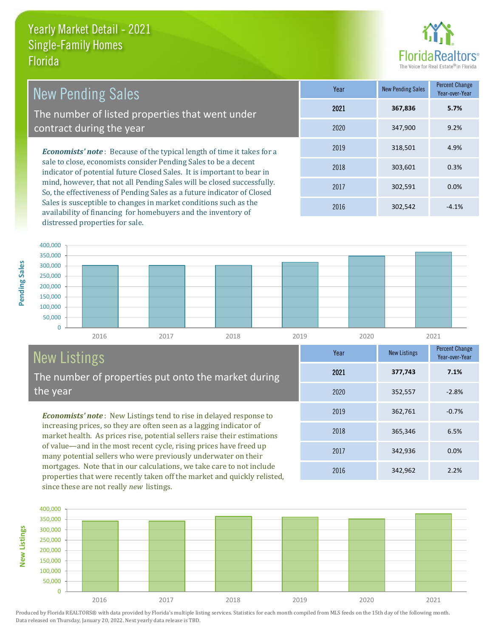

*Economists' note* : Because of the typical length of time it takes for a sale to close, economists consider Pending Sales to be a decent indicator of potential future Closed Sales. It is important to bear in mind, however, that not all Pending Sales will be closed successfully. 2018 303,601 0.3% 2017 302,591 0.0% Year New Pending Sales Percent Change Year-over-Year 2019 318,501 4.9% 2021 **367,836 5.7%** 2020 347,900 9.2% New Pending Sales The number of listed properties that went under contract during the year

So, the effectiveness of Pending Sales as a future indicator of Closed Sales is susceptible to changes in market conditions such as the availability of financing for homebuyers and the inventory of distressed properties for sale.

2016 302,542 -4.1%

2016 342,962 2.2%

2017 342,936 0.0%

2018 365,346 6.5%

2019 362,761 -0.7%

2020 352,557 -2.8%

2021 **377,743**

Year New Listings Percent Change

**7.1%**

Year-over-Year



# New Listings

The number of properties put onto the market during the year

*Economists' note* : New Listings tend to rise in delayed response to increasing prices, so they are often seen as a lagging indicator of market health. As prices rise, potential sellers raise their estimations of value—and in the most recent cycle, rising prices have freed up many potential sellers who were previously underwater on their mortgages. Note that in our calculations, we take care to not include properties that were recently taken off the market and quickly relisted, since these are not really *new* listings.

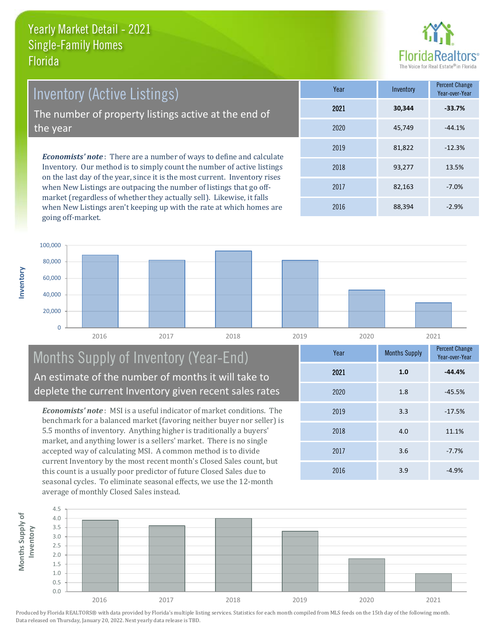**Inventory**



*Economists' note* : There are a number of ways to define and calculate Inventory. Our method is to simply count the number of active listings on the last day of the year, since it is the most current. Inventory rises **Year** Inventory Percent Change Inventory (Active Listings) The number of property listings active at the end of the year

when New Listings are outpacing the number of listings that go offmarket (regardless of whether they actually sell). Likewise, it falls when New Listings aren't keeping up with the rate at which homes are going off-market.

|      |        | Year-over-Year |
|------|--------|----------------|
| 2021 | 30,344 | $-33.7%$       |
| 2020 | 45,749 | $-44.1%$       |
| 2019 | 81,822 | $-12.3%$       |
| 2018 | 93,277 | 13.5%          |
| 2017 | 82,163 | $-7.0%$        |
| 2016 | 88,394 | $-2.9%$        |



#### Months Supply of Inventory (Year-End) An estimate of the number of months it will take to deplete the current Inventory given recent sales rates

*Economists' note* : MSI is a useful indicator of market conditions. The benchmark for a balanced market (favoring neither buyer nor seller) is 5.5 months of inventory. Anything higher is traditionally a buyers' market, and anything lower is a sellers' market. There is no single accepted way of calculating MSI. A common method is to divide current Inventory by the most recent month's Closed Sales count, but this count is a usually poor predictor of future Closed Sales due to seasonal cycles. To eliminate seasonal effects, we use the 12-month average of monthly Closed Sales instead.

| Year | <b>Months Supply</b> | <b>Percent Change</b><br>Year-over-Year |
|------|----------------------|-----------------------------------------|
| 2021 | 1.0                  | $-44.4%$                                |
| 2020 | 1.8                  | $-45.5%$                                |
| 2019 | 3.3                  | $-17.5%$                                |
| 2018 | 4.0                  | 11.1%                                   |
| 2017 | 3.6                  | $-7.7%$                                 |
| 2016 | 3.9                  | $-4.9%$                                 |

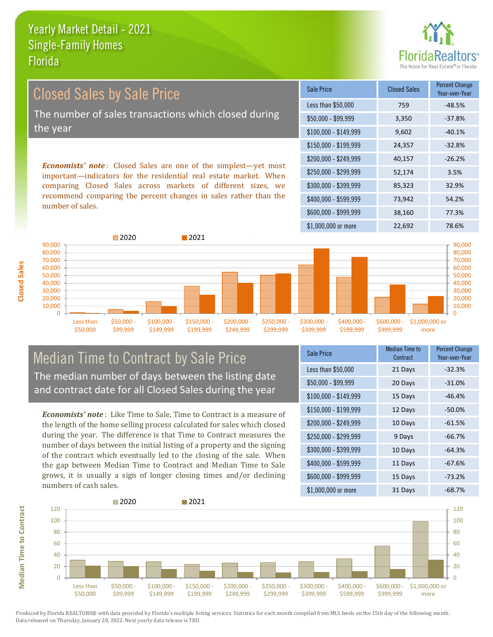

Closed Sales by Sale Price The number of sales transactions which closed during the year

*Economists' note* : Closed Sales are one of the simplest—yet most important—indicators for the residential real estate market. When comparing Closed Sales across markets of different sizes, we recommend comparing the percent changes in sales rather than the number of sales.

| Sale Price            | <b>Closed Sales</b> | <b>Percent Change</b><br>Year-over-Year |
|-----------------------|---------------------|-----------------------------------------|
| Less than \$50,000    | 759                 | -48.5%                                  |
| $$50,000 - $99,999$   | 3,350               | $-37.8%$                                |
| $$100,000 - $149,999$ | 9,602               | $-40.1%$                                |
| $$150,000 - $199,999$ | 24,357              | $-32.8%$                                |
| \$200,000 - \$249,999 | 40,157              | $-26.2%$                                |
| \$250,000 - \$299,999 | 52,174              | 3.5%                                    |
| \$300,000 - \$399,999 | 85,323              | 32.9%                                   |
| \$400,000 - \$599,999 | 73,942              | 54.2%                                   |
| \$600,000 - \$999,999 | 38,160              | 77.3%                                   |
| \$1,000,000 or more   | 22,692              | 78.6%                                   |



#### Median Time to Contract by Sale Price The median number of days between the listing date and contract date for all Closed Sales during the year

*Economists' note* : Like Time to Sale, Time to Contract is a measure of the length of the home selling process calculated for sales which closed during the year. The difference is that Time to Contract measures the number of days between the initial listing of a property and the signing of the contract which eventually led to the closing of the sale. When the gap between Median Time to Contract and Median Time to Sale grows, it is usually a sign of longer closing times and/or declining numbers of cash sales.

| Sale Price            | Median Time to<br>Contract | <b>Percent Change</b><br>Year-over-Year |
|-----------------------|----------------------------|-----------------------------------------|
| Less than \$50,000    | 21 Days                    | $-32.3%$                                |
| $$50,000 - $99,999$   | 20 Days                    | $-31.0%$                                |
| $$100,000 - $149,999$ | 15 Days                    | $-46.4%$                                |
| $$150,000 - $199,999$ | 12 Days                    | $-50.0\%$                               |
| \$200,000 - \$249,999 | 10 Days                    | $-61.5%$                                |
| \$250,000 - \$299,999 | 9 Days                     | $-66.7%$                                |
| \$300,000 - \$399,999 | 10 Days                    | $-64.3%$                                |
| \$400,000 - \$599,999 | 11 Days                    | $-67.6%$                                |
| \$600,000 - \$999,999 | 15 Days                    | $-73.2%$                                |
| \$1,000,000 or more   | 31 Days                    | $-68.7%$                                |



**Closed Sales**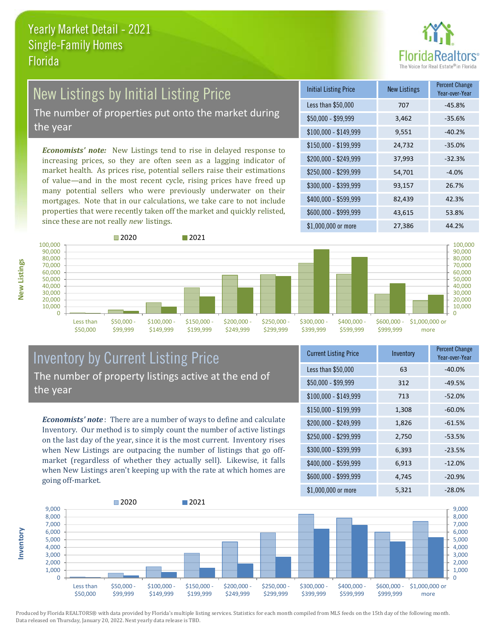

## New Listings by Initial Listing Price

The number of properties put onto the market during the year

*Economists' note:* New Listings tend to rise in delayed response to increasing prices, so they are often seen as a lagging indicator of market health. As prices rise, potential sellers raise their estimations of value—and in the most recent cycle, rising prices have freed up many potential sellers who were previously underwater on their mortgages. Note that in our calculations, we take care to not include properties that were recently taken off the market and quickly relisted, since these are not really *new* listings.

| <b>Initial Listing Price</b> | <b>New Listings</b> | <b>Percent Change</b><br>Year-over-Year |
|------------------------------|---------------------|-----------------------------------------|
| Less than \$50,000           | 707                 | -45.8%                                  |
| $$50,000 - $99,999$          | 3,462               | $-35.6%$                                |
| $$100,000 - $149,999$        | 9,551               | $-40.2%$                                |
| $$150,000 - $199,999$        | 24,732              | $-35.0%$                                |
| \$200,000 - \$249,999        | 37,993              | $-32.3%$                                |
| \$250,000 - \$299,999        | 54,701              | $-4.0%$                                 |
| \$300,000 - \$399,999        | 93,157              | 26.7%                                   |
| \$400,000 - \$599,999        | 82,439              | 42.3%                                   |
| \$600,000 - \$999,999        | 43,615              | 53.8%                                   |
| \$1,000,000 or more          | 27,386              | 44.2%                                   |



#### Inventory by Current Listing Price The number of property listings active at the end of the year

*Economists' note* : There are a number of ways to define and calculate Inventory. Our method is to simply count the number of active listings on the last day of the year, since it is the most current. Inventory rises when New Listings are outpacing the number of listings that go offmarket (regardless of whether they actually sell). Likewise, it falls when New Listings aren't keeping up with the rate at which homes are going off-market.

| <b>Current Listing Price</b> | Inventory | Percent Change<br>Year-over-Year |
|------------------------------|-----------|----------------------------------|
| Less than \$50,000           | 63        | $-40.0%$                         |
| \$50,000 - \$99,999          | 312       | $-49.5%$                         |
| $$100,000 - $149,999$        | 713       | $-52.0%$                         |
| $$150,000 - $199,999$        | 1,308     | $-60.0%$                         |
| \$200,000 - \$249,999        | 1,826     | $-61.5%$                         |
| \$250,000 - \$299,999        | 2,750     | $-53.5%$                         |
| \$300,000 - \$399,999        | 6,393     | $-23.5%$                         |
| \$400,000 - \$599,999        | 6,913     | $-12.0%$                         |
| \$600,000 - \$999,999        | 4,745     | $-20.9%$                         |
| \$1,000,000 or more          | 5,321     | $-28.0%$                         |



Produced by Florida REALTORS® with data provided by Florida's multiple listing services. Statistics for each month compiled from MLS feeds on the 15th day of the following month. Data released on Thursday, January 20, 2022. Next yearly data release is TBD.

**Inventory**